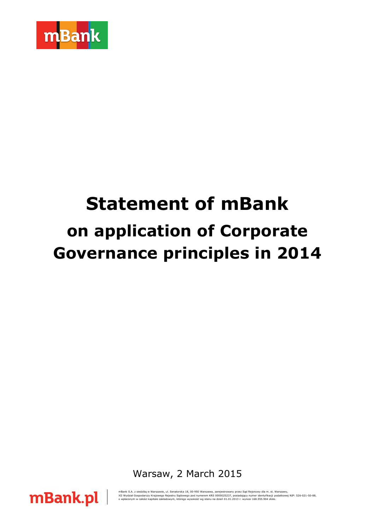

# **Statement of mBank on application of Corporate Governance principles in 2014**

Warsaw, 2 March 2015



mBank S.A. z siedzibą w Warszawie, ul. Senatorska 18, 00-950 Warszawa, zarejestrowany przez Sąd Rejonowy dla m. st. Warszawy,<br>XII Wydział Gospodarczy Krajowego Rejestru Sądowego pod numerem KRS 0000025237, posiadający nume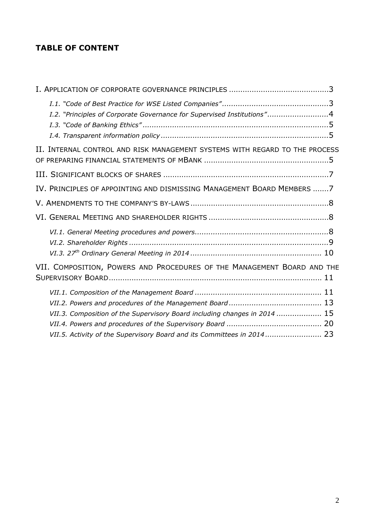# **TABLE OF CONTENT**

| I.2. "Principles of Corporate Governance for Supervised Institutions"4                                                                              |  |
|-----------------------------------------------------------------------------------------------------------------------------------------------------|--|
| II. INTERNAL CONTROL AND RISK MANAGEMENT SYSTEMS WITH REGARD TO THE PROCESS                                                                         |  |
|                                                                                                                                                     |  |
| IV. PRINCIPLES OF APPOINTING AND DISMISSING MANAGEMENT BOARD MEMBERS  7                                                                             |  |
|                                                                                                                                                     |  |
|                                                                                                                                                     |  |
|                                                                                                                                                     |  |
| VII. COMPOSITION, POWERS AND PROCEDURES OF THE MANAGEMENT BOARD AND THE                                                                             |  |
| VII.3. Composition of the Supervisory Board including changes in 2014  15<br>VII.5. Activity of the Supervisory Board and its Committees in 2014 23 |  |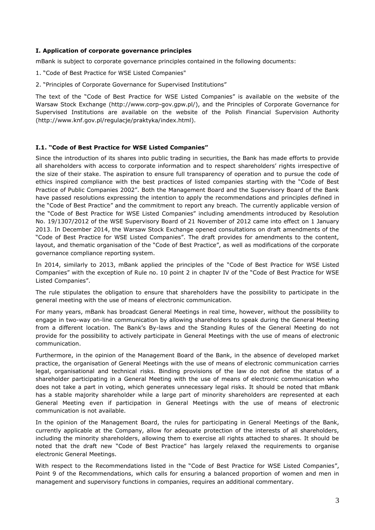# <span id="page-2-0"></span>**I. Application of corporate governance principles**

mBank is subject to corporate governance principles contained in the following documents:

- 1. "Code of Best Practice for WSE Listed Companies"
- 2. "Principles of Corporate Governance for Supervised Institutions"

The text of the "Code of Best Practice for WSE Listed Companies" is available on the website of the Warsaw Stock Exchange (http://www.corp-gov.gpw.pl/), and the Principles of Corporate Governance for Supervised Institutions are available on the website of the Polish Financial Supervision Authority [\(http://www.knf.gov.pl/regulacje/praktyka/index.html\)](http://www.knf.gov.pl/regulacje/praktyka/index.html).

#### <span id="page-2-1"></span>**I.1. "Code of Best Practice for WSE Listed Companies"**

Since the introduction of its shares into public trading in securities, the Bank has made efforts to provide all shareholders with access to corporate information and to respect shareholders' rights irrespective of the size of their stake. The aspiration to ensure full transparency of operation and to pursue the code of ethics inspired compliance with the best practices of listed companies starting with the "Code of Best Practice of Public Companies 2002". Both the Management Board and the Supervisory Board of the Bank have passed resolutions expressing the intention to apply the recommendations and principles defined in the "Code of Best Practice" and the commitment to report any breach. The currently applicable version of the "Code of Best Practice for WSE Listed Companies" including amendments introduced by Resolution No. 19/1307/2012 of the WSE Supervisory Board of 21 November of 2012 came into effect on 1 January 2013. In December 2014, the Warsaw Stock Exchange opened consultations on draft amendments of the "Code of Best Practice for WSE Listed Companies". The draft provides for amendments to the content, layout, and thematic organisation of the "Code of Best Practice", as well as modifications of the corporate governance compliance reporting system.

In 2014, similarly to 2013, mBank applied the principles of the "Code of Best Practice for WSE Listed Companies" with the exception of Rule no. 10 point 2 in chapter IV of the "Code of Best Practice for WSE Listed Companies".

The rule stipulates the obligation to ensure that shareholders have the possibility to participate in the general meeting with the use of means of electronic communication.

For many years, mBank has broadcast General Meetings in real time, however, without the possibility to engage in two-way on-line communication by allowing shareholders to speak during the General Meeting from a different location. The Bank's By-laws and the Standing Rules of the General Meeting do not provide for the possibility to actively participate in General Meetings with the use of means of electronic communication.

Furthermore, in the opinion of the Management Board of the Bank, in the absence of developed market practice, the organisation of General Meetings with the use of means of electronic communication carries legal, organisational and technical risks. Binding provisions of the law do not define the status of a shareholder participating in a General Meeting with the use of means of electronic communication who does not take a part in voting, which generates unnecessary legal risks. It should be noted that mBank has a stable majority shareholder while a large part of minority shareholders are represented at each General Meeting even if participation in General Meetings with the use of means of electronic communication is not available.

In the opinion of the Management Board, the rules for participating in General Meetings of the Bank, currently applicable at the Company, allow for adequate protection of the interests of all shareholders, including the minority shareholders, allowing them to exercise all rights attached to shares. It should be noted that the draft new "Code of Best Practice" has largely relaxed the requirements to organise electronic General Meetings.

With respect to the Recommendations listed in the "Code of Best Practice for WSE Listed Companies", Point 9 of the Recommendations, which calls for ensuring a balanced proportion of women and men in management and supervisory functions in companies, requires an additional commentary.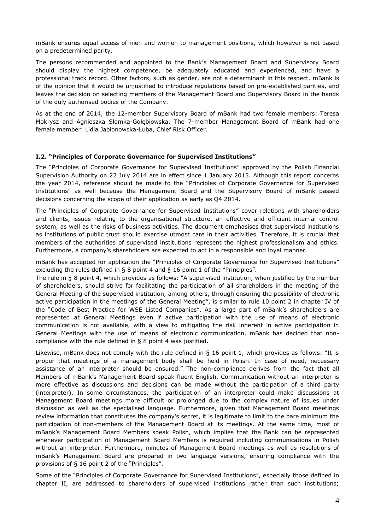mBank ensures equal access of men and women to management positions, which however is not based on a predetermined parity.

The persons recommended and appointed to the Bank's Management Board and Supervisory Board should display the highest competence, be adequately educated and experienced, and have a professional track record. Other factors, such as gender, are not a determinant in this respect. mBank is of the opinion that it would be unjustified to introduce regulations based on pre-established parities, and leaves the decision on selecting members of the Management Board and Supervisory Board in the hands of the duly authorised bodies of the Company.

As at the end of 2014, the 12-member Supervisory Board of mBank had two female members: Teresa Mokrysz and Agnieszka Słomka-Gołębiowska. The 7-member Management Board of mBank had one female member: Lidia Jabłonowska-Luba, Chief Risk Officer.

#### <span id="page-3-0"></span>**I.2. "Principles of Corporate Governance for Supervised Institutions"**

The "Principles of Corporate Governance for Supervised Institutions" approved by the Polish Financial Supervision Authority on 22 July 2014 are in effect since 1 January 2015. Although this report concerns the year 2014, reference should be made to the "Principles of Corporate Governance for Supervised Institutions" as well because the Management Board and the Supervisory Board of mBank passed decisions concerning the scope of their application as early as Q4 2014.

The "Principles of Corporate Governance for Supervised Institutions" cover relations with shareholders and clients, issues relating to the organisational structure, an effective and efficient internal control system, as well as the risks of business activities. The document emphasises that supervised institutions as institutions of public trust should exercise utmost care in their activities. Therefore, it is crucial that members of the authorities of supervised institutions represent the highest professionalism and ethics. Furthermore, a company's shareholders are expected to act in a responsible and loyal manner.

mBank has accepted for application the "Principles of Corporate Governance for Supervised Institutions" excluding the rules defined in § 8 point 4 and § 16 point 1 of the "Principles".

The rule in § 8 point 4, which provides as follows: "A supervised institution, when justified by the number of shareholders, should strive for facilitating the participation of all shareholders in the meeting of the General Meeting of the supervised institution, among others, through ensuring the possibility of electronic active participation in the meetings of the General Meeting", is similar to rule 10 point 2 in chapter IV of the "Code of Best Practice for WSE Listed Companies". As a large part of mBank's shareholders are represented at General Meetings even if active participation with the use of means of electronic communication is not available, with a view to mitigating the risk inherent in active participation in General Meetings with the use of means of electronic communication, mBank has decided that noncompliance with the rule defined in § 8 point 4 was justified.

Likewise, mBank does not comply with the rule defined in § 16 point 1, which provides as follows: "It is proper that meetings of a management body shall be held in Polish. In case of need, necessary assistance of an interpreter should be ensured." The non-compliance derives from the fact that all Members of mBank's Management Board speak fluent English. Communication without an interpreter is more effective as discussions and decisions can be made without the participation of a third party (interpreter). In some circumstances, the participation of an interpreter could make discussions at Management Board meetings more difficult or prolonged due to the complex nature of issues under discussion as well as the specialised language. Furthermore, given that Management Board meetings review information that constitutes the company's secret, it is legitimate to limit to the bare minimum the participation of non-members of the Management Board at its meetings. At the same time, most of mBank's Management Board Members speak Polish, which implies that the Bank can be represented whenever participation of Management Board Members is required including communications in Polish without an interpreter. Furthermore, minutes of Management Board meetings as well as resolutions of mBank's Management Board are prepared in two language versions, ensuring compliance with the provisions of § 16 point 2 of the "Principles".

Some of the "Principles of Corporate Governance for Supervised Institutions", especially those defined in chapter II, are addressed to shareholders of supervised institutions rather than such institutions;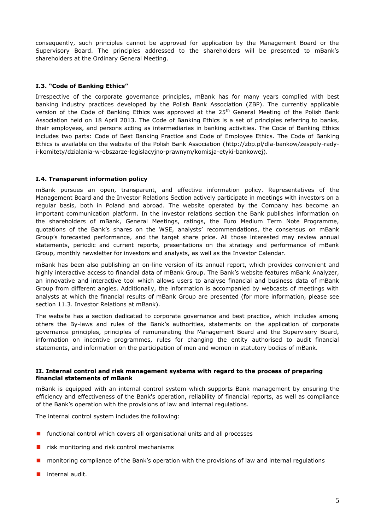consequently, such principles cannot be approved for application by the Management Board or the Supervisory Board. The principles addressed to the shareholders will be presented to mBank's shareholders at the Ordinary General Meeting.

# <span id="page-4-0"></span>**I.3. "Code of Banking Ethics"**

Irrespective of the corporate governance principles, mBank has for many years complied with best banking industry practices developed by the Polish Bank Association (ZBP). The currently applicable version of the Code of Banking Ethics was approved at the 25<sup>th</sup> General Meeting of the Polish Bank Association held on 18 April 2013. The Code of Banking Ethics is a set of principles referring to banks, their employees, and persons acting as intermediaries in banking activities. The Code of Banking Ethics includes two parts: Code of Best Banking Practice and Code of Employee Ethics. The Code of Banking Ethics is available on the website of the Polish Bank Association (http://zbp.pl/dla-bankow/zespoly-radyi-komitety/dzialania-w-obszarze-legislacyjno-prawnym/komisja-etyki-bankowej).

#### <span id="page-4-1"></span>**I.4. Transparent information policy**

mBank pursues an open, transparent, and effective information policy. Representatives of the Management Board and the Investor Relations Section actively participate in meetings with investors on a regular basis, both in Poland and abroad. The website operated by the Company has become an important communication platform. In the investor relations section the Bank publishes information on the shareholders of mBank, General Meetings, ratings, the Euro Medium Term Note Programme, quotations of the Bank's shares on the WSE, analysts' recommendations, the consensus on mBank Group's forecasted performance, and the target share price. All those interested may review annual statements, periodic and current reports, presentations on the strategy and performance of mBank Group, monthly newsletter for investors and analysts, as well as the Investor Calendar.

mBank has been also publishing an on-line version of its annual report, which provides convenient and highly interactive access to financial data of mBank Group. The Bank's website features mBank Analyzer, an innovative and interactive tool which allows users to analyse financial and business data of mBank Group from different angles. Additionally, the information is accompanied by webcasts of meetings with analysts at which the financial results of mBank Group are presented (for more information, please see section 11.3. Investor Relations at mBank).

The website has a section dedicated to corporate governance and best practice, which includes among others the By-laws and rules of the Bank's authorities, statements on the application of corporate governance principles, principles of remunerating the Management Board and the Supervisory Board, information on incentive programmes, rules for changing the entity authorised to audit financial statements, and information on the participation of men and women in statutory bodies of mBank.

#### <span id="page-4-2"></span>**II. Internal control and risk management systems with regard to the process of preparing financial statements of mBank**

mBank is equipped with an internal control system which supports Bank management by ensuring the efficiency and effectiveness of the Bank's operation, reliability of financial reports, as well as compliance of the Bank's operation with the provisions of law and internal regulations.

The internal control system includes the following:

- **F** functional control which covers all organisational units and all processes
- $\blacksquare$  risk monitoring and risk control mechanisms
- **n** monitoring compliance of the Bank's operation with the provisions of law and internal regulations
- **internal audit**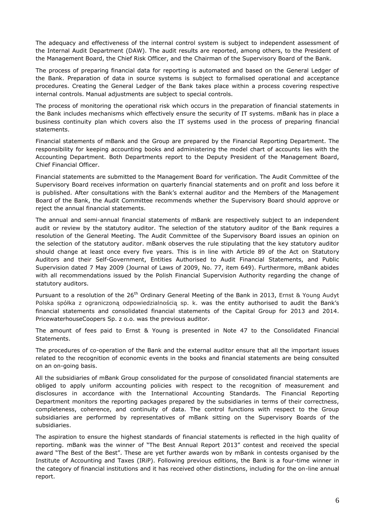The adequacy and effectiveness of the internal control system is subject to independent assessment of the Internal Audit Department (DAW). The audit results are reported, among others, to the President of the Management Board, the Chief Risk Officer, and the Chairman of the Supervisory Board of the Bank.

The process of preparing financial data for reporting is automated and based on the General Ledger of the Bank. Preparation of data in source systems is subject to formalised operational and acceptance procedures. Creating the General Ledger of the Bank takes place within a process covering respective internal controls. Manual adjustments are subject to special controls.

The process of monitoring the operational risk which occurs in the preparation of financial statements in the Bank includes mechanisms which effectively ensure the security of IT systems. mBank has in place a business continuity plan which covers also the IT systems used in the process of preparing financial statements.

Financial statements of mBank and the Group are prepared by the Financial Reporting Department. The responsibility for keeping accounting books and administering the model chart of accounts lies with the Accounting Department. Both Departments report to the Deputy President of the Management Board, Chief Financial Officer.

Financial statements are submitted to the Management Board for verification. The Audit Committee of the Supervisory Board receives information on quarterly financial statements and on profit and loss before it is published. After consultations with the Bank's external auditor and the Members of the Management Board of the Bank, the Audit Committee recommends whether the Supervisory Board should approve or reject the annual financial statements.

The annual and semi-annual financial statements of mBank are respectively subject to an independent audit or review by the statutory auditor. The selection of the statutory auditor of the Bank requires a resolution of the General Meeting. The Audit Committee of the Supervisory Board issues an opinion on the selection of the statutory auditor. mBank observes the rule stipulating that the key statutory auditor should change at least once every five years. This is in line with Article 89 of the Act on Statutory Auditors and their Self-Government, Entities Authorised to Audit Financial Statements, and Public Supervision dated 7 May 2009 (Journal of Laws of 2009, No. 77, item 649). Furthermore, mBank abides with all recommendations issued by the Polish Financial Supervision Authority regarding the change of statutory auditors.

Pursuant to a resolution of the 26<sup>th</sup> Ordinary General Meeting of the Bank in 2013, Ernst & Young Audyt Polska spółka z ograniczoną odpowiedzialnością sp. k. was the entity authorised to audit the Bank's financial statements and consolidated financial statements of the Capital Group for 2013 and 2014. PricewaterhouseCoopers Sp. z o.o. was the previous auditor.

The amount of fees paid to Ernst & Young is presented in Note 47 to the Consolidated Financial Statements.

The procedures of co-operation of the Bank and the external auditor ensure that all the important issues related to the recognition of economic events in the books and financial statements are being consulted on an on-going basis.

All the subsidiaries of mBank Group consolidated for the purpose of consolidated financial statements are obliged to apply uniform accounting policies with respect to the recognition of measurement and disclosures in accordance with the International Accounting Standards. The Financial Reporting Department monitors the reporting packages prepared by the subsidiaries in terms of their correctness, completeness, coherence, and continuity of data. The control functions with respect to the Group subsidiaries are performed by representatives of mBank sitting on the Supervisory Boards of the subsidiaries.

The aspiration to ensure the highest standards of financial statements is reflected in the high quality of reporting. mBank was the winner of "The Best Annual Report 2013" contest and received the special award "The Best of the Best". These are yet further awards won by mBank in contests organised by the Institute of Accounting and Taxes (IRiP). Following previous editions, the Bank is a four-time winner in the category of financial institutions and it has received other distinctions, including for the on-line annual report.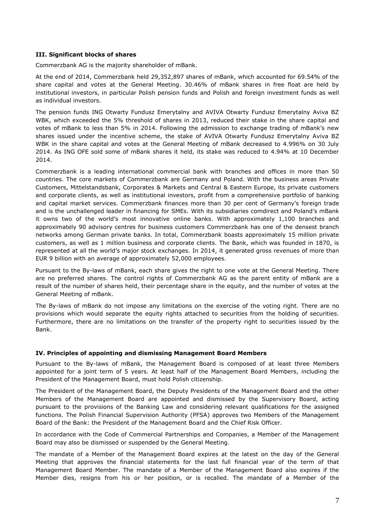#### <span id="page-6-0"></span>**III. Significant blocks of shares**

Commerzbank AG is the majority shareholder of mBank.

At the end of 2014, Commerzbank held 29,352,897 shares of mBank, which accounted for 69.54% of the share capital and votes at the General Meeting. 30.46% of mBank shares in free float are held by institutional investors, in particular Polish pension funds and Polish and foreign investment funds as well as individual investors.

The pension funds ING Otwarty Fundusz Emerytalny and AVIVA Otwarty Fundusz Emerytalny Aviva BZ WBK, which exceeded the 5% threshold of shares in 2013, reduced their stake in the share capital and votes of mBank to less than 5% in 2014. Following the admission to exchange trading of mBank's new shares issued under the incentive scheme, the stake of AVIVA Otwarty Fundusz Emerytalny Aviva BZ WBK in the share capital and votes at the General Meeting of mBank decreased to 4.996% on 30 July 2014. As ING OFE sold some of mBank shares it held, its stake was reduced to 4.94% at 10 December 2014.

Commerzbank is a leading international commercial bank with branches and offices in more than 50 countries. The core markets of Commerzbank are Germany and Poland. With the business areas Private Customers, Mittelstandsbank, Corporates & Markets and Central & Eastern Europe, its private customers and corporate clients, as well as institutional investors, profit from a comprehensive portfolio of banking and capital market services. Commerzbank finances more than 30 per cent of Germany's foreign trade and is the unchallenged leader in financing for SMEs. With its subsidiaries comdirect and Poland's mBank it owns two of the world's most innovative online banks. With approximately 1,100 branches and approximately 90 advisory centres for business customers Commerzbank has one of the densest branch networks among German private banks. In total, Commerzbank boasts approximately 15 million private customers, as well as 1 million business and corporate clients. The Bank, which was founded in 1870, is represented at all the world's major stock exchanges. In 2014, it generated gross revenues of more than EUR 9 billion with an average of approximately 52,000 employees.

Pursuant to the By-laws of mBank, each share gives the right to one vote at the General Meeting. There are no preferred shares. The control rights of Commerzbank AG as the parent entity of mBank are a result of the number of shares held, their percentage share in the equity, and the number of votes at the General Meeting of mBank.

The By-laws of mBank do not impose any limitations on the exercise of the voting right. There are no provisions which would separate the equity rights attached to securities from the holding of securities. Furthermore, there are no limitations on the transfer of the property right to securities issued by the Bank.

#### <span id="page-6-1"></span>**IV. Principles of appointing and dismissing Management Board Members**

Pursuant to the By-laws of mBank, the Management Board is composed of at least three Members appointed for a joint term of 5 years. At least half of the Management Board Members, including the President of the Management Board, must hold Polish citizenship.

The President of the Management Board, the Deputy Presidents of the Management Board and the other Members of the Management Board are appointed and dismissed by the Supervisory Board, acting pursuant to the provisions of the Banking Law and considering relevant qualifications for the assigned functions. The Polish Financial Supervision Authority (PFSA) approves two Members of the Management Board of the Bank: the President of the Management Board and the Chief Risk Officer.

In accordance with the Code of Commercial Partnerships and Companies, a Member of the Management Board may also be dismissed or suspended by the General Meeting.

The mandate of a Member of the Management Board expires at the latest on the day of the General Meeting that approves the financial statements for the last full financial year of the term of that Management Board Member. The mandate of a Member of the Management Board also expires if the Member dies, resigns from his or her position, or is recalled. The mandate of a Member of the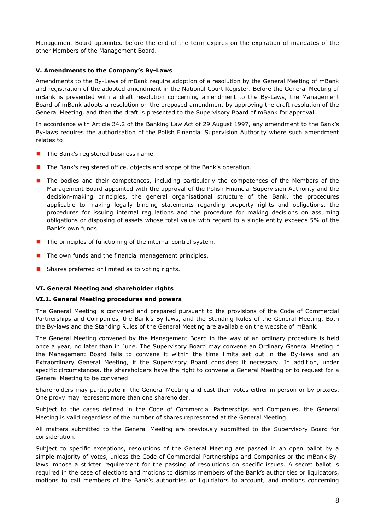Management Board appointed before the end of the term expires on the expiration of mandates of the other Members of the Management Board.

# <span id="page-7-0"></span>**V. Amendments to the Company's By-Laws**

Amendments to the By-Laws of mBank require adoption of a resolution by the General Meeting of mBank and registration of the adopted amendment in the National Court Register. Before the General Meeting of mBank is presented with a draft resolution concerning amendment to the By-Laws, the Management Board of mBank adopts a resolution on the proposed amendment by approving the draft resolution of the General Meeting, and then the draft is presented to the Supervisory Board of mBank for approval.

In accordance with Article 34.2 of the Banking Law Act of 29 August 1997, any amendment to the Bank's By-laws requires the authorisation of the Polish Financial Supervision Authority where such amendment relates to:

- $\blacksquare$  The Bank's registered business name.
- The Bank's registered office, objects and scope of the Bank's operation.
- **The bodies and their competences, including particularly the competences of the Members of the** Management Board appointed with the approval of the Polish Financial Supervision Authority and the decision-making principles, the general organisational structure of the Bank, the procedures applicable to making legally binding statements regarding property rights and obligations, the procedures for issuing internal regulations and the procedure for making decisions on assuming obligations or disposing of assets whose total value with regard to a single entity exceeds 5% of the Bank's own funds.
- $\blacksquare$  The principles of functioning of the internal control system.
- $\blacksquare$  The own funds and the financial management principles.
- **B** Shares preferred or limited as to voting rights.

# <span id="page-7-1"></span>**VI. General Meeting and shareholder rights**

# <span id="page-7-2"></span>**VI.1. General Meeting procedures and powers**

The General Meeting is convened and prepared pursuant to the provisions of the Code of Commercial Partnerships and Companies, the Bank's By-laws, and the Standing Rules of the General Meeting. Both the By-laws and the Standing Rules of the General Meeting are available on the website of mBank.

The General Meeting convened by the Management Board in the way of an ordinary procedure is held once a year, no later than in June. The Supervisory Board may convene an Ordinary General Meeting if the Management Board fails to convene it within the time limits set out in the By-laws and an Extraordinary General Meeting, if the Supervisory Board considers it necessary. In addition, under specific circumstances, the shareholders have the right to convene a General Meeting or to request for a General Meeting to be convened.

Shareholders may participate in the General Meeting and cast their votes either in person or by proxies. One proxy may represent more than one shareholder.

Subject to the cases defined in the Code of Commercial Partnerships and Companies, the General Meeting is valid regardless of the number of shares represented at the General Meeting.

All matters submitted to the General Meeting are previously submitted to the Supervisory Board for consideration.

Subject to specific exceptions, resolutions of the General Meeting are passed in an open ballot by a simple majority of votes, unless the Code of Commercial Partnerships and Companies or the mBank Bylaws impose a stricter requirement for the passing of resolutions on specific issues. A secret ballot is required in the case of elections and motions to dismiss members of the Bank's authorities or liquidators, motions to call members of the Bank's authorities or liquidators to account, and motions concerning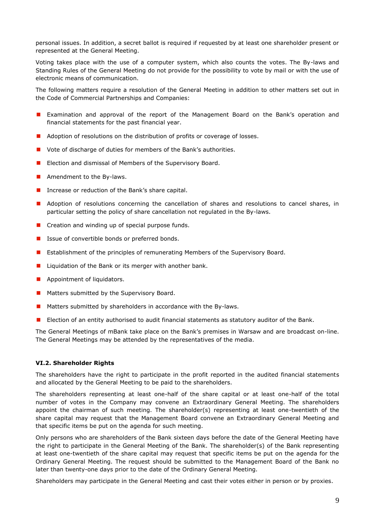personal issues. In addition, a secret ballot is required if requested by at least one shareholder present or represented at the General Meeting.

Voting takes place with the use of a computer system, which also counts the votes. The By-laws and Standing Rules of the General Meeting do not provide for the possibility to vote by mail or with the use of electronic means of communication.

The following matters require a resolution of the General Meeting in addition to other matters set out in the Code of Commercial Partnerships and Companies:

- Examination and approval of the report of the Management Board on the Bank's operation and financial statements for the past financial year.
- **Adoption of resolutions on the distribution of profits or coverage of losses.**
- Vote of discharge of duties for members of the Bank's authorities.
- **E** Election and dismissal of Members of the Supervisory Board.
- **Amendment to the By-laws.**
- Increase or reduction of the Bank's share capital.
- **Adoption of resolutions concerning the cancellation of shares and resolutions to cancel shares, in** particular setting the policy of share cancellation not regulated in the By-laws.
- $\blacksquare$  Creation and winding up of special purpose funds.
- Issue of convertible bonds or preferred bonds.
- **E** Establishment of the principles of remunerating Members of the Supervisory Board.
- **Liquidation of the Bank or its merger with another bank.**
- **Appointment of liquidators.**
- **Matters submitted by the Supervisory Board.**
- **Matters submitted by shareholders in accordance with the By-laws.**
- **E** Election of an entity authorised to audit financial statements as statutory auditor of the Bank.

The General Meetings of mBank take place on the Bank's premises in Warsaw and are broadcast on-line. The General Meetings may be attended by the representatives of the media.

#### <span id="page-8-0"></span>**VI.2. Shareholder Rights**

The shareholders have the right to participate in the profit reported in the audited financial statements and allocated by the General Meeting to be paid to the shareholders.

The shareholders representing at least one-half of the share capital or at least one-half of the total number of votes in the Company may convene an Extraordinary General Meeting. The shareholders appoint the chairman of such meeting. The shareholder(s) representing at least one-twentieth of the share capital may request that the Management Board convene an Extraordinary General Meeting and that specific items be put on the agenda for such meeting.

Only persons who are shareholders of the Bank sixteen days before the date of the General Meeting have the right to participate in the General Meeting of the Bank. The shareholder(s) of the Bank representing at least one-twentieth of the share capital may request that specific items be put on the agenda for the Ordinary General Meeting. The request should be submitted to the Management Board of the Bank no later than twenty-one days prior to the date of the Ordinary General Meeting.

Shareholders may participate in the General Meeting and cast their votes either in person or by proxies.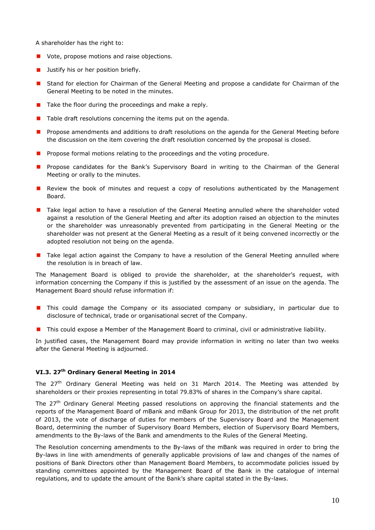A shareholder has the right to:

- **U** Vote, propose motions and raise objections.
- **Justify his or her position briefly.**
- Stand for election for Chairman of the General Meeting and propose a candidate for Chairman of the General Meeting to be noted in the minutes.
- $\blacksquare$  Take the floor during the proceedings and make a reply.
- $\blacksquare$  Table draft resolutions concerning the items put on the agenda.
- **Propose amendments and additions to draft resolutions on the agenda for the General Meeting before** the discussion on the item covering the draft resolution concerned by the proposal is closed.
- **Propose formal motions relating to the proceedings and the voting procedure.**
- **Propose candidates for the Bank's Supervisory Board in writing to the Chairman of the General** Meeting or orally to the minutes.
- **Review the book of minutes and request a copy of resolutions authenticated by the Management** Board.
- **T** Take legal action to have a resolution of the General Meeting annulled where the shareholder voted against a resolution of the General Meeting and after its adoption raised an objection to the minutes or the shareholder was unreasonably prevented from participating in the General Meeting or the shareholder was not present at the General Meeting as a result of it being convened incorrectly or the adopted resolution not being on the agenda.
- T Take legal action against the Company to have a resolution of the General Meeting annulled where the resolution is in breach of law.

The Management Board is obliged to provide the shareholder, at the shareholder's request, with information concerning the Company if this is justified by the assessment of an issue on the agenda. The Management Board should refuse information if:

- **This could damage the Company or its associated company or subsidiary, in particular due to** disclosure of technical, trade or organisational secret of the Company.
- This could expose a Member of the Management Board to criminal, civil or administrative liability.

In justified cases, the Management Board may provide information in writing no later than two weeks after the General Meeting is adjourned.

# <span id="page-9-0"></span>**VI.3. 27th Ordinary General Meeting in 2014**

The 27<sup>th</sup> Ordinary General Meeting was held on 31 March 2014. The Meeting was attended by shareholders or their proxies representing in total 79.83% of shares in the Company's share capital.

The 27<sup>th</sup> Ordinary General Meeting passed resolutions on approving the financial statements and the reports of the Management Board of mBank and mBank Group for 2013, the distribution of the net profit of 2013, the vote of discharge of duties for members of the Supervisory Board and the Management Board, determining the number of Supervisory Board Members, election of Supervisory Board Members, amendments to the By-laws of the Bank and amendments to the Rules of the General Meeting.

The Resolution concerning amendments to the By-laws of the mBank was required in order to bring the By-laws in line with amendments of generally applicable provisions of law and changes of the names of positions of Bank Directors other than Management Board Members, to accommodate policies issued by standing committees appointed by the Management Board of the Bank in the catalogue of internal regulations, and to update the amount of the Bank's share capital stated in the By-laws.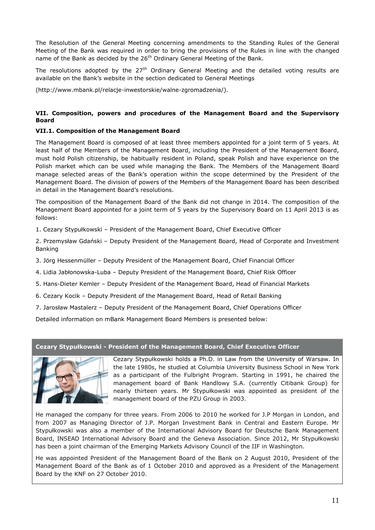The Resolution of the General Meeting concerning amendments to the Standing Rules of the General Meeting of the Bank was required in order to bring the provisions of the Rules in line with the changed name of the Bank as decided by the 26<sup>th</sup> Ordinary General Meeting of the Bank.

The resolutions adopted by the  $27<sup>th</sup>$  Ordinary General Meeting and the detailed voting results are available on the Bank's website in the section dedicated to General Meetings

[\(http://www.mbank.pl/relacje-inwestorskie/walne-zgromadzenia/\)](http://www.mbank.pl/relacje-inwestorskie/walne-zgromadzenia/).

# <span id="page-10-0"></span>**VII. Composition, powers and procedures of the Management Board and the Supervisory Board**

# <span id="page-10-1"></span>**VII.1. Composition of the Management Board**

The Management Board is composed of at least three members appointed for a joint term of 5 years. At least half of the Members of the Management Board, including the President of the Management Board, must hold Polish citizenship, be habitually resident in Poland, speak Polish and have experience on the Polish market which can be used while managing the Bank. The Members of the Management Board manage selected areas of the Bank's operation within the scope determined by the President of the Management Board. The division of powers of the Members of the Management Board has been described in detail in the Management Board's resolutions.

The composition of the Management Board of the Bank did not change in 2014. The composition of the Management Board appointed for a joint term of 5 years by the Supervisory Board on 11 April 2013 is as follows:

1. Cezary Stypułkowski – President of the Management Board, Chief Executive Officer

2. Przemysław Gdański – Deputy President of the Management Board, Head of Corporate and Investment Banking

- 3. Jörg Hessenmüller Deputy President of the Management Board, Chief Financial Officer
- 4. Lidia Jabłonowska-Luba Deputy President of the Management Board, Chief Risk Officer
- 5. Hans-Dieter Kemler Deputy President of the Management Board, Head of Financial Markets
- 6. Cezary Kocik Deputy President of the Management Board, Head of Retail Banking
- 7. Jarosław Mastalerz Deputy President of the Management Board, Chief Operations Officer

Detailed information on mBank Management Board Members is presented below:

#### **Cezary Stypułkowski - President of the Management Board, Chief Executive Officer**



Cezary Stypułkowski holds a Ph.D. in Law from the University of Warsaw. In the late 1980s, he studied at Columbia University Business School in New York as a participant of the Fulbright Program. Starting in 1991, he chaired the management board of Bank Handlowy S.A. (currently Citibank Group) for nearly thirteen years. Mr Stypułkowski was appointed as president of the management board of the PZU Group in 2003.

He managed the company for three years. From 2006 to 2010 he worked for J.P Morgan in London, and from 2007 as Managing Director of J.P. Morgan Investment Bank in Central and Eastern Europe. Mr Stypułkowski was also a member of the International Advisory Board for Deutsche Bank Management Board, INSEAD International Advisory Board and the Geneva Association. Since 2012, Mr Stypułkowski has been a joint chairman of the Emerging Markets Advisory Council of the IIF in Washington.

He was appointed President of the Management Board of the Bank on 2 August 2010, President of the Management Board of the Bank as of 1 October 2010 and approved as a President of the Management Board by the KNF on 27 October 2010.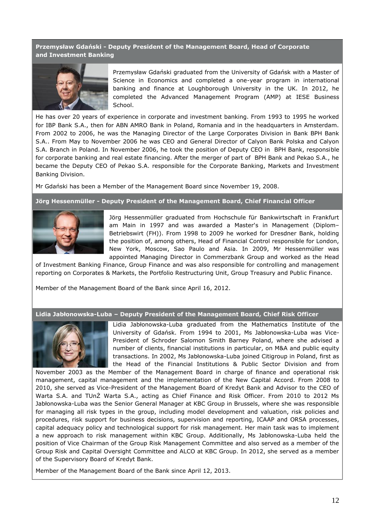**Przemysław Gdański - Deputy President of the Management Board, Head of Corporate and Investment Banking**



Przemysław Gdański graduated from the University of Gdańsk with a Master of Science in Economics and completed a one-year program in international banking and finance at Loughborough University in the UK. In 2012, he completed the Advanced Management Program (AMP) at IESE Business School.

He has over 20 years of experience in corporate and investment banking. From 1993 to 1995 he worked for IBP Bank S.A., then for ABN AMRO Bank in Poland, Romania and in the headquarters in Amsterdam. From 2002 to 2006, he was the Managing Director of the Large Corporates Division in Bank BPH Bank S.A.. From May to November 2006 he was CEO and General Director of Calyon Bank Polska and Calyon S.A. Branch in Poland. In November 2006, he took the position of Deputy CEO in BPH Bank, responsible for corporate banking and real estate financing. After the merger of part of BPH Bank and Pekao S.A., he became the Deputy CEO of Pekao S.A. responsible for the Corporate Banking, Markets and Investment Banking Division.

Mr Gdański has been a Member of the Management Board since November 19, 2008.

**Jörg Hessenmüller - Deputy President of the Management Board, Chief Financial Officer**



Jörg Hessenmüller graduated from Hochschule für Bankwirtschaft in Frankfurt am Main in 1997 and was awarded a Master's in Management (Diplom– Betriebswirt (FH)). From 1998 to 2009 he worked for Dresdner Bank, holding the position of, among others, Head of Financial Control responsible for London, New York, Moscow, Sao Paulo and Asia. In 2009, Mr Hessenmüller was appointed Managing Director in Commerzbank Group and worked as the Head

of Investment Banking Finance, Group Finance and was also responsible for controlling and management reporting on Corporates & Markets, the Portfolio Restructuring Unit, Group Treasury and Public Finance.

Member of the Management Board of the Bank since April 16, 2012.

#### **Lidia Jabłonowska-Luba – Deputy President of the Management Board, Chief Risk Officer**



Lidia Jabłonowska-Luba graduated from the Mathematics Institute of the University of Gdańsk. From 1994 to 2001, Ms Jabłonowska-Luba was Vice-President of Schroder Salomon Smith Barney Poland, where she advised a number of clients, financial institutions in particular, on M&A and public equity transactions. In 2002, Ms Jabłonowska-Luba joined Citigroup in Poland, first as the Head of the Financial Institutions & Public Sector Division and from

November 2003 as the Member of the Management Board in charge of finance and operational risk management, capital management and the implementation of the New Capital Accord. From 2008 to 2010, she served as Vice-President of the Management Board of Kredyt Bank and Advisor to the CEO of Warta S.A. and TUnŻ Warta S.A., acting as Chief Finance and Risk Officer. From 2010 to 2012 Ms Jabłonowska-Luba was the Senior General Manager at KBC Group in Brussels, where she was responsible for managing all risk types in the group, including model development and valuation, risk policies and procedures, risk support for business decisions, supervision and reporting, ICAAP and ORSA processes, capital adequacy policy and technological support for risk management. Her main task was to implement a new approach to risk management within KBC Group. Additionally, Ms Jabłonowska-Luba held the position of Vice Chairman of the Group Risk Management Committee and also served as a member of the Group Risk and Capital Oversight Committee and ALCO at KBC Group. In 2012, she served as a member of the Supervisory Board of Kredyt Bank.

Member of the Management Board of the Bank since April 12, 2013.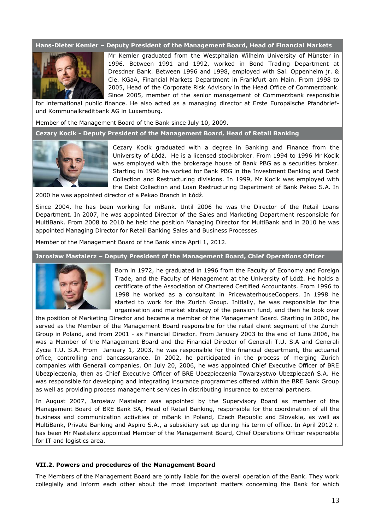#### **Hans-Dieter Kemler – Deputy President of the Management Board, Head of Financial Markets**



Mr Kemler graduated from the Westphalian Wilhelm University of Münster in 1996. Between 1991 and 1992, worked in Bond Trading Department at Dresdner Bank. Between 1996 and 1998, employed with Sal. Oppenheim jr. & Cie. KGaA, Financial Markets Department in Frankfurt am Main. From 1998 to 2005, Head of the Corporate Risk Advisory in the Head Office of Commerzbank. Since 2005, member of the senior management of Commerzbank responsible

for international public finance. He also acted as a managing director at Erste Europäische Pfandbriefund Kommunalkreditbank AG in Luxemburg.

Member of the Management Board of the Bank since July 10, 2009.

**Cezary Kocik - Deputy President of the Management Board, Head of Retail Banking**



Cezary Kocik graduated with a degree in Banking and Finance from the University of Łódź. He is a licensed stockbroker. From 1994 to 1996 Mr Kocik was employed with the brokerage house of Bank PBG as a securities broker. Starting in 1996 he worked for Bank PBG in the Investment Banking and Debt Collection and Restructuring divisions. In 1999, Mr Kocik was employed with the Debt Collection and Loan Restructuring Department of Bank Pekao S.A. In

2000 he was appointed director of a Pekao Branch in Łódź.

Since 2004, he has been working for mBank. Until 2006 he was the Director of the Retail Loans Department. In 2007, he was appointed Director of the Sales and Marketing Department responsible for MultiBank. From 2008 to 2010 he held the position Managing Director for MultiBank and in 2010 he was appointed Managing Director for Retail Banking Sales and Business Processes.

Member of the Management Board of the Bank since April 1, 2012.

**Jarosław Mastalerz – Deputy President of the Management Board, Chief Operations Officer**



Born in 1972, he graduated in 1996 from the Faculty of Economy and Foreign Trade, and the Faculty of Management at the University of Łódź. He holds a certificate of the Association of Chartered Certified Accountants. From 1996 to 1998 he worked as a consultant in PricewaterhouseCoopers. In 1998 he started to work for the Zurich Group. Initially, he was responsible for the organisation and market strategy of the pension fund, and then he took over

the position of Marketing Director and became a member of the Management Board. Starting in 2000, he served as the Member of the Management Board responsible for the retail client segment of the Zurich Group in Poland, and from 2001 - as Financial Director. From January 2003 to the end of June 2006, he was a Member of the Management Board and the Financial Director of Generali T.U. S.A and Generali Życie T.U. S.A. From January 1, 2003, he was responsible for the financial department, the actuarial office, controlling and bancassurance. In 2002, he participated in the process of merging Zurich companies with Generali companies. On July 20, 2006, he was appointed Chief Executive Officer of BRE Ubezpieczenia, then as Chief Executive Officer of BRE Ubezpieczenia Towarzystwo Ubezpieczeń S.A. He was responsible for developing and integrating insurance programmes offered within the BRE Bank Group as well as providing process management services in distributing insurance to external partners.

In August 2007, Jarosław Mastalerz was appointed by the Supervisory Board as member of the Management Board of BRE Bank SA, Head of Retail Banking, responsible for the coordination of all the business and communication activities of mBank in Poland, Czech Republic and Slovakia, as well as MultiBank, Private Banking and Aspiro S.A., a subsidiary set up during his term of office. In April 2012 r. has been Mr Mastalerz appointed Member of the Management Board, Chief Operations Officer responsible for IT and logistics area.

#### <span id="page-12-0"></span>**VII.2. Powers and procedures of the Management Board**

The Members of the Management Board are jointly liable for the overall operation of the Bank. They work collegially and inform each other about the most important matters concerning the Bank for which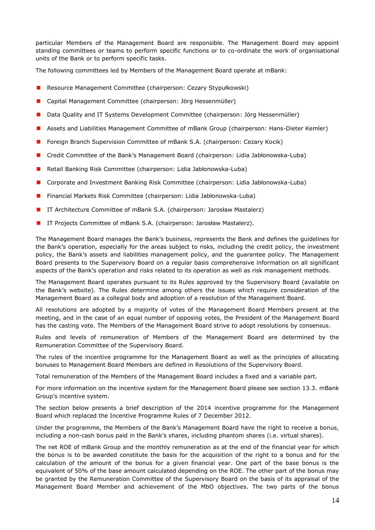particular Members of the Management Board are responsible. The Management Board may appoint standing committees or teams to perform specific functions or to co-ordinate the work of organisational units of the Bank or to perform specific tasks.

The following committees led by Members of the Management Board operate at mBank:

- Resource Management Committee (chairperson: Cezary Stypułkowski)
- Capital Management Committee (chairperson: Jörg Hessenmüller)
- Data Quality and IT Systems Development Committee (chairperson: Jörg Hessenmüller)
- Assets and Liabilities Management Committee of mBank Group (chairperson: Hans-Dieter Kemler)
- **F** Foreign Branch Supervision Committee of mBank S.A. (chairperson: Cezary Kocik)
- Credit Committee of the Bank's Management Board (chairperson: Lidia Jabłonowska-Luba)
- Retail Banking Risk Committee (chairperson: Lidia Jabłonowska-Luba)
- **E** Corporate and Investment Banking Risk Committee (chairperson: Lidia Jabłonowska-Luba)
- Financial Markets Risk Committee (chairperson: Lidia Jabłonowska-Luba)
- IT Architecture Committee of mBank S.A. (chairperson: Jarosław Mastalerz)
- IT Projects Committee of mBank S.A. (chairperson: Jarosław Mastalerz).

The Management Board manages the Bank's business, represents the Bank and defines the guidelines for the Bank's operation, especially for the areas subject to risks, including the credit policy, the investment policy, the Bank's assets and liabilities management policy, and the guarantee policy. The Management Board presents to the Supervisory Board on a regular basis comprehensive information on all significant aspects of the Bank's operation and risks related to its operation as well as risk management methods.

The Management Board operates pursuant to its Rules approved by the Supervisory Board (available on the Bank's website). The Rules determine among others the issues which require consideration of the Management Board as a collegial body and adoption of a resolution of the Management Board.

All resolutions are adopted by a majority of votes of the Management Board Members present at the meeting, and in the case of an equal number of opposing votes, the President of the Management Board has the casting vote. The Members of the Management Board strive to adopt resolutions by consensus.

Rules and levels of remuneration of Members of the Management Board are determined by the Remuneration Committee of the Supervisory Board.

The rules of the incentive programme for the Management Board as well as the principles of allocating bonuses to Management Board Members are defined in Resolutions of the Supervisory Board.

Total remuneration of the Members of the Management Board includes a fixed and a variable part.

For more information on the incentive system for the Management Board please see section 13.3. mBank Group's incentive system.

The section below presents a brief description of the 2014 incentive programme for the Management Board which replaced the Incentive Programme Rules of 7 December 2012.

Under the programme, the Members of the Bank's Management Board have the right to receive a bonus, including a non-cash bonus paid in the Bank's shares, including phantom shares (i.e. virtual shares).

The net ROE of mBank Group and the monthly remuneration as at the end of the financial year for which the bonus is to be awarded constitute the basis for the acquisition of the right to a bonus and for the calculation of the amount of the bonus for a given financial year. One part of the base bonus is the equivalent of 50% of the base amount calculated depending on the ROE. The other part of the bonus may be granted by the Remuneration Committee of the Supervisory Board on the basis of its appraisal of the Management Board Member and achievement of the MbO objectives. The two parts of the bonus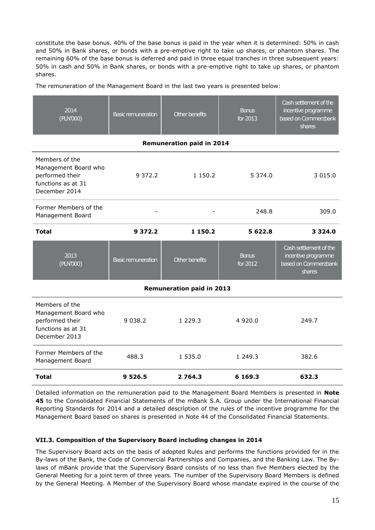constitute the base bonus. 40% of the base bonus is paid in the year when it is determined: 50% in cash and 50% in Bank shares, or bonds with a pre-emptive right to take up shares, or phantom shares. The remaining 60% of the base bonus is deferred and paid in three equal tranches in three subsequent years: 50% in cash and 50% in Bank shares, or bonds with a pre-emptive right to take up shares, or phantom shares.

The remuneration of the Management Board in the last two years is presented below:

| 2014<br>(PLN'000)                                                                                | <b>Basic remuneration</b> | Other benefits | <b>Bonus</b><br>for 2013 | Cash settlement of the<br>incentive programme<br>based on Commerzbank<br>shares |  |  |
|--------------------------------------------------------------------------------------------------|---------------------------|----------------|--------------------------|---------------------------------------------------------------------------------|--|--|
| <b>Remuneration paid in 2014</b>                                                                 |                           |                |                          |                                                                                 |  |  |
| Members of the<br>Management Board who<br>performed their<br>functions as at 31<br>December 2014 | 9 3 7 2 . 2               | 1 150.2        | 5 3 7 4 . 0              | 3 0 1 5 .0                                                                      |  |  |
| Former Members of the<br>Management Board                                                        |                           | 248.8          |                          | 309.0                                                                           |  |  |
| <b>Total</b>                                                                                     | 9 3 7 2 . 2               | 1 150.2        | 5 622.8                  | 3 3 2 4 . 0                                                                     |  |  |
| 2013<br>(PLN'000)                                                                                | <b>Basic remuneration</b> | Other benefits | <b>Bonus</b><br>for 2012 | Cash settlement of the<br>incentive programme<br>based on Commerzbank<br>shares |  |  |
| <b>Remuneration paid in 2013</b>                                                                 |                           |                |                          |                                                                                 |  |  |
| Members of the<br>Management Board who<br>performed their<br>functions as at 31<br>December 2013 | 9 0 38.2                  | 1 2 2 9 . 3    | 4 9 2 0.0                | 249.7                                                                           |  |  |
| Former Members of the<br>Management Board                                                        | 488.3                     | 1 535.0        | 1 249.3                  | 382.6                                                                           |  |  |
| <b>Total</b>                                                                                     | 9 5 2 6 . 5               | 2 7 64.3       | 6 1 6 9 . 3              | 632.3                                                                           |  |  |

Detailed information on the remuneration paid to the Management Board Members is presented in **Note 45** to the Consolidated Financial Statements of the mBank S.A. Group under the International Financial Reporting Standards for 2014 and a detailed description of the rules of the incentive programme for the Management Board based on shares is presented in Note 44 of the Consolidated Financial Statements.

# <span id="page-14-0"></span>**VII.3. Composition of the Supervisory Board including changes in 2014**

The Supervisory Board acts on the basis of adopted Rules and performs the functions provided for in the By-laws of the Bank, the Code of Commercial Partnerships and Companies, and the Banking Law. The Bylaws of mBank provide that the Supervisory Board consists of no less than five Members elected by the General Meeting for a joint term of three years. The number of the Supervisory Board Members is defined by the General Meeting. A Member of the Supervisory Board whose mandate expired in the course of the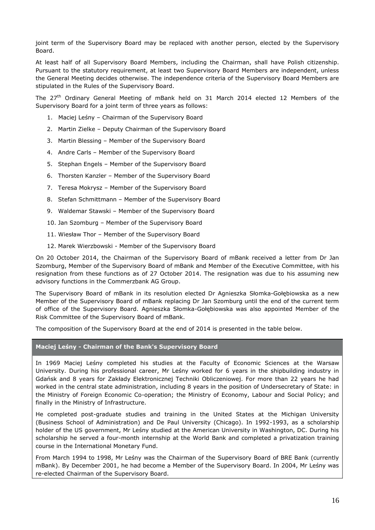joint term of the Supervisory Board may be replaced with another person, elected by the Supervisory Board.

At least half of all Supervisory Board Members, including the Chairman, shall have Polish citizenship. Pursuant to the statutory requirement, at least two Supervisory Board Members are independent, unless the General Meeting decides otherwise. The independence criteria of the Supervisory Board Members are stipulated in the Rules of the Supervisory Board.

The 27<sup>th</sup> Ordinary General Meeting of mBank held on 31 March 2014 elected 12 Members of the Supervisory Board for a joint term of three years as follows:

- 1. Maciej Leśny Chairman of the Supervisory Board
- 2. Martin Zielke Deputy Chairman of the Supervisory Board
- 3. Martin Blessing Member of the Supervisory Board
- 4. Andre Carls Member of the Supervisory Board
- 5. Stephan Engels Member of the Supervisory Board
- 6. Thorsten Kanzler Member of the Supervisory Board
- 7. Teresa Mokrysz Member of the Supervisory Board
- 8. Stefan Schmittmann Member of the Supervisory Board
- 9. Waldemar Stawski Member of the Supervisory Board
- 10. Jan Szomburg Member of the Supervisory Board
- 11. Wiesław Thor Member of the Supervisory Board
- 12. Marek Wierzbowski Member of the Supervisory Board

On 20 October 2014, the Chairman of the Supervisory Board of mBank received a letter from Dr Jan Szomburg, Member of the Supervisory Board of mBank and Member of the Executive Committee, with his resignation from these functions as of 27 October 2014. The resignation was due to his assuming new advisory functions in the Commerzbank AG Group.

The Supervisory Board of mBank in its resolution elected Dr Agnieszka Słomka-Gołębiowska as a new Member of the Supervisory Board of mBank replacing Dr Jan Szomburg until the end of the current term of office of the Supervisory Board. Agnieszka Słomka-Gołębiowska was also appointed Member of the Risk Committee of the Supervisory Board of mBank.

The composition of the Supervisory Board at the end of 2014 is presented in the table below.

#### **Maciej Leśny - Chairman of the Bank's Supervisory Board**

In 1969 Maciej Leśny completed his studies at the Faculty of Economic Sciences at the Warsaw University. During his professional career, Mr Leśny worked for 6 years in the shipbuilding industry in Gdańsk and 8 years for Zakłady Elektronicznej Techniki Obliczeniowej. For more than 22 years he had worked in the central state administration, including 8 years in the position of Undersecretary of State: in the Ministry of Foreign Economic Co-operation; the Ministry of Economy, Labour and Social Policy; and finally in the Ministry of Infrastructure.

He completed post-graduate studies and training in the United States at the Michigan University (Business School of Administration) and De Paul University (Chicago). In 1992-1993, as a scholarship holder of the US government, Mr Leśny studied at the American University in Washington, DC. During his scholarship he served a four-month internship at the World Bank and completed a privatization training course in the International Monetary Fund.

From March 1994 to 1998, Mr Leśny was the Chairman of the Supervisory Board of BRE Bank (currently mBank). By December 2001, he had become a Member of the Supervisory Board. In 2004, Mr Leśny was re-elected Chairman of the Supervisory Board.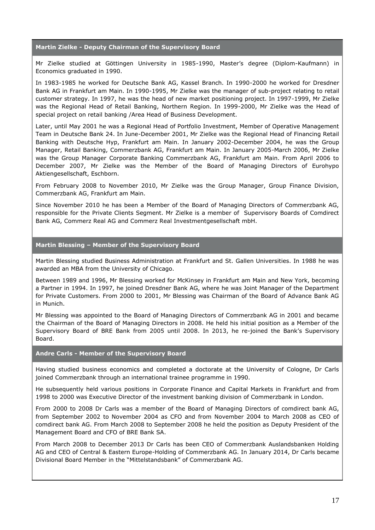#### **Martin Zielke - Deputy Chairman of the Supervisory Board**

Mr Zielke studied at Göttingen University in 1985-1990, Master's degree (Diplom-Kaufmann) in Economics graduated in 1990.

In 1983-1985 he worked for Deutsche Bank AG, Kassel Branch. In 1990-2000 he worked for Dresdner Bank AG in Frankfurt am Main. In 1990-1995, Mr Zielke was the manager of sub-project relating to retail customer strategy. In 1997, he was the head of new market positioning project. In 1997-1999, Mr Zielke was the Regional Head of Retail Banking, Northern Region. In 1999-2000, Mr Zielke was the Head of special project on retail banking /Area Head of Business Development.

Later, until May 2001 he was a Regional Head of Portfolio Investment, Member of Operative Management Team in Deutsche Bank 24. In June-December 2001, Mr Zielke was the Regional Head of Financing Retail Banking with Deutsche Hyp, Frankfurt am Main. In January 2002-December 2004, he was the Group Manager, Retail Banking, Commerzbank AG, Frankfurt am Main. In January 2005-March 2006, Mr Zielke was the Group Manager Corporate Banking Commerzbank AG, Frankfurt am Main. From April 2006 to December 2007, Mr Zielke was the Member of the Board of Managing Directors of Eurohypo Aktiengesellschaft, Eschborn.

From February 2008 to November 2010, Mr Zielke was the Group Manager, Group Finance Division, Commerzbank AG, Frankfurt am Main.

Since November 2010 he has been a Member of the Board of Managing Directors of Commerzbank AG, responsible for the Private Clients Segment. Mr Zielke is a member of Supervisory Boards of Comdirect Bank AG, Commerz Real AG and Commerz Real Investmentgesellschaft mbH.

#### **Martin Blessing – Member of the Supervisory Board**

Martin Blessing studied Business Administration at Frankfurt and St. Gallen Universities. In 1988 he was awarded an MBA from the University of Chicago.

Between 1989 and 1996, Mr Blessing worked for McKinsey in Frankfurt am Main and New York, becoming a Partner in 1994. In 1997, he joined Dresdner Bank AG, where he was Joint Manager of the Department for Private Customers. From 2000 to 2001, Mr Blessing was Chairman of the Board of Advance Bank AG in Munich.

Mr Blessing was appointed to the Board of Managing Directors of Commerzbank AG in 2001 and became the Chairman of the Board of Managing Directors in 2008. He held his initial position as a Member of the Supervisory Board of BRE Bank from 2005 until 2008. In 2013, he re-joined the Bank's Supervisory Board.

# **Andre Carls - Member of the Supervisory Board**

Having studied business economics and completed a doctorate at the University of Cologne, Dr Carls joined Commerzbank through an international trainee programme in 1990.

He subsequently held various positions in Corporate Finance and Capital Markets in Frankfurt and from 1998 to 2000 was Executive Director of the investment banking division of Commerzbank in London.

From 2000 to 2008 Dr Carls was a member of the Board of Managing Directors of comdirect bank AG, from September 2002 to November 2004 as CFO and from November 2004 to March 2008 as CEO of comdirect bank AG. From March 2008 to September 2008 he held the position as Deputy President of the Management Board and CFO of BRE Bank SA.

From March 2008 to December 2013 Dr Carls has been CEO of Commerzbank Auslandsbanken Holding AG and CEO of Central & Eastern Europe-Holding of Commerzbank AG. In January 2014, Dr Carls became Divisional Board Member in the "Mittelstandsbank" of Commerzbank AG.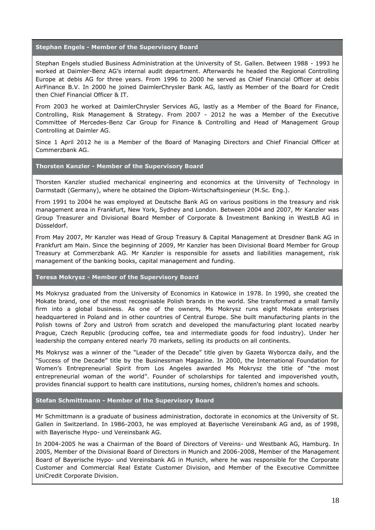#### **Stephan Engels - Member of the Supervisory Board**

Stephan Engels studied Business Administration at the University of St. Gallen. Between 1988 - 1993 he worked at Daimler-Benz AG's internal audit department. Afterwards he headed the Regional Controlling Europe at debis AG for three years. From 1996 to 2000 he served as Chief Financial Officer at debis AirFinance B.V. In 2000 he joined DaimlerChrysler Bank AG, lastly as Member of the Board for Credit then Chief Financial Officer & IT.

From 2003 he worked at DaimlerChrysler Services AG, lastly as a Member of the Board for Finance, Controlling, Risk Management & Strategy. From 2007 - 2012 he was a Member of the Executive Committee of Mercedes-Benz Car Group for Finance & Controlling and Head of Management Group Controlling at Daimler AG.

Since 1 April 2012 he is a Member of the Board of Managing Directors and Chief Financial Officer at Commerzbank AG.

#### **Thorsten Kanzler - Member of the Supervisory Board**

Thorsten Kanzler studied mechanical engineering and economics at the University of Technology in Darmstadt (Germany), where he obtained the Diplom-Wirtschaftsingenieur (M.Sc. Eng.).

From 1991 to 2004 he was employed at Deutsche Bank AG on various positions in the treasury and risk management area in Frankfurt, New York, Sydney and London. Between 2004 and 2007, Mr Kanzler was Group Treasurer and Divisional Board Member of Corporate & Investment Banking in WestLB AG in Düsseldorf.

From May 2007, Mr Kanzler was Head of Group Treasury & Capital Management at Dresdner Bank AG in Frankfurt am Main. Since the beginning of 2009, Mr Kanzler has been Divisional Board Member for Group Treasury at Commerzbank AG. Mr Kanzler is responsible for assets and liabilities management, risk management of the banking books, capital management and funding.

#### **Teresa Mokrysz - Member of the Supervisory Board**

Ms Mokrysz graduated from the University of Economics in Katowice in 1978. In 1990, she created the Mokate brand, one of the most recognisable Polish brands in the world. She transformed a small family firm into a global business. As one of the owners, Ms Mokrysz runs eight Mokate enterprises headquartered in Poland and in other countries of Central Europe. She built manufacturing plants in the Polish towns of Żory and Ustroń from scratch and developed the manufacturing plant located nearby Prague, Czech Republic (producing coffee, tea and intermediate goods for food industry). Under her leadership the company entered nearly 70 markets, selling its products on all continents.

Ms Mokrysz was a winner of the "Leader of the Decade" title given by Gazeta Wyborcza daily, and the "Success of the Decade" title by the Businessman Magazine. In 2000, the International Foundation for Women's Entrepreneurial Spirit from Los Angeles awarded Ms Mokrysz the title of "the most entrepreneurial woman of the world". Founder of scholarships for talented and impoverished youth, provides financial support to health care institutions, nursing homes, children's homes and schools.

#### **Stefan Schmittmann - Member of the Supervisory Board**

Mr Schmittmann is a graduate of business administration, doctorate in economics at the University of St. Gallen in Switzerland. In 1986-2003, he was employed at Bayerische Vereinsbank AG and, as of 1998, with Bayerische Hypo- und Vereinsbank AG.

In 2004-2005 he was a Chairman of the Board of Directors of Vereins- und Westbank AG, Hamburg. In 2005, Member of the Divisional Board of Directors in Munich and 2006-2008, Member of the Management Board of Bayerische Hypo- und Vereinsbank AG in Munich, where he was responsible for the Corporate Customer and Commercial Real Estate Customer Division, and Member of the Executive Committee UniCredit Corporate Division.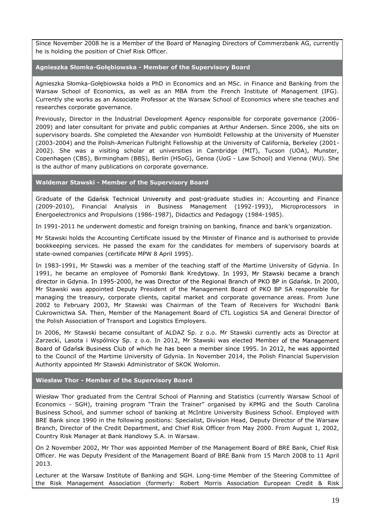Since November 2008 he is a Member of the Board of Managing Directors of Commerzbank AG, currently he is holding the position of Chief Risk Officer.

**Agnieszka Słomka-Gołębiowska - Member of the Supervisory Board**

Agnieszka Słomka-Gołębiowska holds a PhD in Economics and an MSc. in Finance and Banking from the Warsaw School of Economics, as well as an MBA from the French Institute of Management (IFG). Currently she works as an Associate Professor at the Warsaw School of Economics where she teaches and researches corporate governance.

Previously, Director in the Industrial Development Agency responsible for corporate governance (2006- 2009) and later consultant for private and public companies at Arthur Andersen. Since 2006, she sits on supervisory boards. She completed the Alexander von Humboldt Fellowship at the University of Muenster (2003-2004) and the Polish-American Fulbright Fellowship at the University of California, Berkeley (2001- 2002). She was a visiting scholar at universities in Cambridge (MIT), Tucson (UOA), Munster, Copenhagen (CBS), Birmingham (BBS), Berlin (HSoG), Genoa (UoG - Law School) and Vienna (WU). She is the author of many publications on corporate governance.

**Waldemar Stawski - Member of the Supervisory Board**

Graduate of the Gdańsk Technical University and post-graduate studies in: Accounting and Finance (2009-2010), Financial Analysis in Business Management (1992-1993), Microprocessors in Energoelectronics and Propulsions (1986-1987), Didactics and Pedagogy (1984-1985).

In 1991-2011 he underwent domestic and foreign training on banking, finance and bank's organization.

Mr Stawski holds the Accounting Certificate issued by the Minister of Finance and is authorised to provide bookkeeping services. He passed the exam for the candidates for members of supervisory boards at state-owned companies (certificate MPW 8 April 1995).

In 1983-1991, Mr Stawski was a member of the teaching staff of the Martime University of Gdynia. In 1991, he became an employee of Pomorski Bank Kredytowy. In 1993, Mr Stawski became a branch director in Gdynia. In 1995-2000, he was Director of the Regional Branch of PKO BP in Gdańsk. In 2000, Mr Stawski was appointed Deputy President of the Management Board of PKO BP SA responsible for managing the treasury, corporate clients, capital market and corporate governance areas. From June 2002 to February 2003, Mr Stawski was Chairman of the Team of Receivers for Wschodni Bank Cukrownictwa SA. Then, Member of the Management Board of CTL Logistics SA and General Director of the Polish Association of Transport and Logistics Employers.

In 2006, Mr Stawski became consultant of ALDAZ Sp. z o.o. Mr Stawski currently acts as Director at Zarzecki, Lasota i Wspólnicy Sp. z o.o. In 2012, Mr Stawski was elected Member of the Management Board of Gdańsk Business Club of which he has been a member since 1995. In 2012, he was appointed to the Council of the Martime University of Gdynia. In November 2014, the Polish Financial Supervision Authority appointed Mr Stawski Administrator of SKOK Wołomin.

**Wiesław Thor - Member of the Supervisory Board**

Wiesław Thor graduated from the Central School of Planning and Statistics (currently Warsaw School of Economics - SGH), training program "Train the Trainer" organised by KPMG and the South Carolina Business School, and summer school of banking at McIntire University Business School. Employed with BRE Bank since 1990 in the following positions: Specialist, Division Head, Deputy Director of the Warsaw Branch, Director of the Credit Department, and Chief Risk Officer from May 2000. From August 1, 2002, Country Risk Manager at Bank Handlowy S.A. in Warsaw.

On 2 November 2002, Mr Thor was appointed Member of the Management Board of BRE Bank, Chief Risk Officer. He was Deputy President of the Management Board of BRE Bank from 15 March 2008 to 11 April 2013.

Lecturer at the Warsaw Institute of Banking and SGH. Long-time Member of the Steering Committee of the Risk Management Association (formerly: Robert Morris Association European Credit & Risk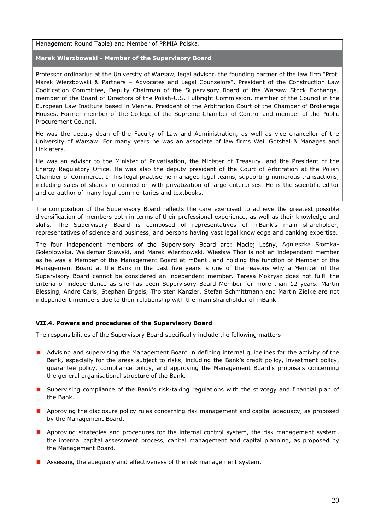Management Round Table) and Member of PRMIA Polska.

**Marek Wierzbowski - Member of the Supervisory Board**

Professor ordinarius at the University of Warsaw, legal advisor, the founding partner of the law firm "Prof. Marek Wierzbowski & Partners – Advocates and Legal Counselors", President of the Construction Law Codification Committee, Deputy Chairman of the Supervisory Board of the Warsaw Stock Exchange, member of the Board of Directors of the Polish-U.S. Fulbright Commission, member of the Council in the European Law Institute based in Vienna, President of the Arbitration Court of the Chamber of Brokerage Houses. Former member of the College of the Supreme Chamber of Control and member of the Public Procurement Council.

He was the deputy dean of the Faculty of Law and Administration, as well as vice chancellor of the University of Warsaw. For many years he was an associate of law firms Weil Gotshal & Manages and Linklaters.

He was an advisor to the Minister of Privatisation, the Minister of Treasury, and the President of the Energy Regulatory Office. He was also the deputy president of the Court of Arbitration at the Polish Chamber of Commerce. In his legal practise he managed legal teams, supporting numerous transactions, including sales of shares in connection with privatization of large enterprises. He is the scientific editor and co-author of many legal commentaries and textbooks.

The composition of the Supervisory Board reflects the care exercised to achieve the greatest possible diversification of members both in terms of their professional experience, as well as their knowledge and skills. The Supervisory Board is composed of representatives of mBank's main shareholder, representatives of science and business, and persons having vast legal knowledge and banking expertise.

The four independent members of the Supervisory Board are: Maciej Leśny, Agnieszka Słomka-Gołębiowska, Waldemar Stawski, and Marek Wierzbowski. Wiesław Thor is not an independent member as he was a Member of the Management Board at mBank, and holding the function of Member of the Management Board at the Bank in the past five years is one of the reasons why a Member of the Supervisory Board cannot be considered an independent member. Teresa Mokrysz does not fulfil the criteria of independence as she has been Supervisory Board Member for more than 12 years. Martin Blessing, Andre Carls, Stephan Engels, Thorsten Kanzler, Stefan Schmittmann and Martin Zielke are not independent members due to their relationship with the main shareholder of mBank.

#### <span id="page-19-0"></span>**VII.4. Powers and procedures of the Supervisory Board**

The responsibilities of the Supervisory Board specifically include the following matters:

- **Advising and supervising the Management Board in defining internal guidelines for the activity of the** Bank, especially for the areas subject to risks, including the Bank's credit policy, investment policy, guarantee policy, compliance policy, and approving the Management Board's proposals concerning the general organisational structure of the Bank.
- **I** Supervising compliance of the Bank's risk-taking regulations with the strategy and financial plan of the Bank.
- **Approving the disclosure policy rules concerning risk management and capital adequacy, as proposed** by the Management Board.
- **Approving strategies and procedures for the internal control system, the risk management system,** the internal capital assessment process, capital management and capital planning, as proposed by the Management Board.
- **Assessing the adequacy and effectiveness of the risk management system.**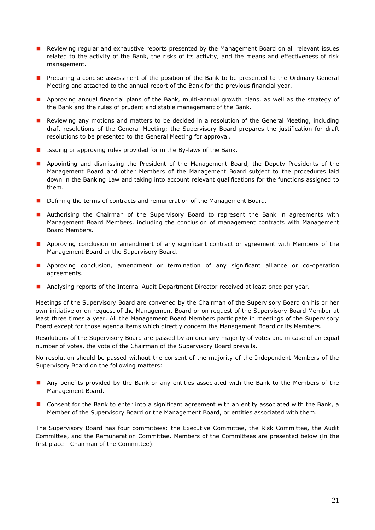- **Reviewing regular and exhaustive reports presented by the Management Board on all relevant issues** related to the activity of the Bank, the risks of its activity, and the means and effectiveness of risk management.
- **Preparing a concise assessment of the position of the Bank to be presented to the Ordinary General** Meeting and attached to the annual report of the Bank for the previous financial year.
- **Approving annual financial plans of the Bank, multi-annual growth plans, as well as the strategy of** the Bank and the rules of prudent and stable management of the Bank.
- Reviewing any motions and matters to be decided in a resolution of the General Meeting, including draft resolutions of the General Meeting; the Supervisory Board prepares the justification for draft resolutions to be presented to the General Meeting for approval.
- **If** Issuing or approving rules provided for in the By-laws of the Bank.
- **Appointing and dismissing the President of the Management Board, the Deputy Presidents of the** Management Board and other Members of the Management Board subject to the procedures laid down in the Banking Law and taking into account relevant qualifications for the functions assigned to them.
- Defining the terms of contracts and remuneration of the Management Board.
- **Authorising the Chairman of the Supervisory Board to represent the Bank in agreements with** Management Board Members, including the conclusion of management contracts with Management Board Members.
- **Approving conclusion or amendment of any significant contract or agreement with Members of the** Management Board or the Supervisory Board.
- **Approving conclusion, amendment or termination of any significant alliance or co-operation** agreements.
- **Analysing reports of the Internal Audit Department Director received at least once per year.**

Meetings of the Supervisory Board are convened by the Chairman of the Supervisory Board on his or her own initiative or on request of the Management Board or on request of the Supervisory Board Member at least three times a year. All the Management Board Members participate in meetings of the Supervisory Board except for those agenda items which directly concern the Management Board or its Members.

Resolutions of the Supervisory Board are passed by an ordinary majority of votes and in case of an equal number of votes, the vote of the Chairman of the Supervisory Board prevails.

No resolution should be passed without the consent of the majority of the Independent Members of the Supervisory Board on the following matters:

- **Any benefits provided by the Bank or any entities associated with the Bank to the Members of the** Management Board.
- **D** Consent for the Bank to enter into a significant agreement with an entity associated with the Bank, a Member of the Supervisory Board or the Management Board, or entities associated with them.

The Supervisory Board has four committees: the Executive Committee, the Risk Committee, the Audit Committee, and the Remuneration Committee. Members of the Committees are presented below (in the first place - Chairman of the Committee).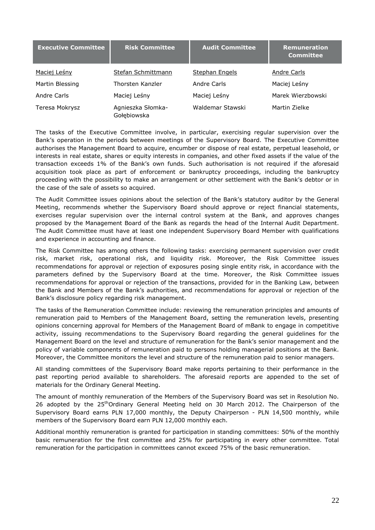| <b>Executive Committee</b> | <b>Risk Committee</b>            | <b>Audit Committee</b> | <b>Remuneration</b><br><b>Committee</b> |
|----------------------------|----------------------------------|------------------------|-----------------------------------------|
| Maciej Leśny               | Stefan Schmittmann               | <b>Stephan Engels</b>  | Andre Carls                             |
| Martin Blessing            | Thorsten Kanzler                 | Andre Carls            | Maciej Leśny                            |
| Andre Carls                | Maciej Leśny                     | Maciej Leśny           | Marek Wierzbowski                       |
| Teresa Mokrysz             | Agnieszka Słomka-<br>Gołębiowska | Waldemar Stawski       | Martin Zielke                           |

The tasks of the Executive Committee involve, in particular, exercising regular supervision over the Bank's operation in the periods between meetings of the Supervisory Board. The Executive Committee authorises the Management Board to acquire, encumber or dispose of real estate, perpetual leasehold, or interests in real estate, shares or equity interests in companies, and other fixed assets if the value of the transaction exceeds 1% of the Bank's own funds. Such authorisation is not required if the aforesaid acquisition took place as part of enforcement or bankruptcy proceedings, including the bankruptcy proceeding with the possibility to make an arrangement or other settlement with the Bank's debtor or in the case of the sale of assets so acquired.

The Audit Committee issues opinions about the selection of the Bank's statutory auditor by the General Meeting, recommends whether the Supervisory Board should approve or reject financial statements, exercises regular supervision over the internal control system at the Bank, and approves changes proposed by the Management Board of the Bank as regards the head of the Internal Audit Department. The Audit Committee must have at least one independent Supervisory Board Member with qualifications and experience in accounting and finance.

The Risk Committee has among others the following tasks: exercising permanent supervision over credit risk, market risk, operational risk, and liquidity risk. Moreover, the Risk Committee issues recommendations for approval or rejection of exposures posing single entity risk, in accordance with the parameters defined by the Supervisory Board at the time. Moreover, the Risk Committee issues recommendations for approval or rejection of the transactions, provided for in the Banking Law, between the Bank and Members of the Bank's authorities, and recommendations for approval or rejection of the Bank's disclosure policy regarding risk management.

The tasks of the Remuneration Committee include: reviewing the remuneration principles and amounts of remuneration paid to Members of the Management Board, setting the remuneration levels, presenting opinions concerning approval for Members of the Management Board of mBank to engage in competitive activity, issuing recommendations to the Supervisory Board regarding the general guidelines for the Management Board on the level and structure of remuneration for the Bank's senior management and the policy of variable components of remuneration paid to persons holding managerial positions at the Bank. Moreover, the Committee monitors the level and structure of the remuneration paid to senior managers.

All standing committees of the Supervisory Board make reports pertaining to their performance in the past reporting period available to shareholders. The aforesaid reports are appended to the set of materials for the Ordinary General Meeting.

The amount of monthly remuneration of the Members of the Supervisory Board was set in Resolution No. 26 adopted by the 25<sup>th</sup>Ordinary General Meeting held on 30 March 2012. The Chairperson of the Supervisory Board earns PLN 17,000 monthly, the Deputy Chairperson - PLN 14,500 monthly, while members of the Supervisory Board earn PLN 12,000 monthly each.

Additional monthly remuneration is granted for participation in standing committees: 50% of the monthly basic remuneration for the first committee and 25% for participating in every other committee. Total remuneration for the participation in committees cannot exceed 75% of the basic remuneration.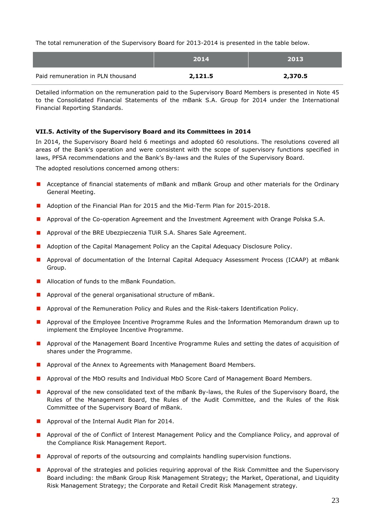The total remuneration of the Supervisory Board for 2013-2014 is presented in the table below.

|                                   | 2014    | 2013    |
|-----------------------------------|---------|---------|
| Paid remuneration in PLN thousand | 2,121.5 | 2,370.5 |

Detailed information on the remuneration paid to the Supervisory Board Members is presented in Note 45 to the Consolidated Financial Statements of the mBank S.A. Group for 2014 under the International Financial Reporting Standards.

# <span id="page-22-0"></span>**VII.5. Activity of the Supervisory Board and its Committees in 2014**

In 2014, the Supervisory Board held 6 meetings and adopted 60 resolutions. The resolutions covered all areas of the Bank's operation and were consistent with the scope of supervisory functions specified in laws, PFSA recommendations and the Bank's By-laws and the Rules of the Supervisory Board.

The adopted resolutions concerned among others:

- **A** Acceptance of financial statements of mBank and mBank Group and other materials for the Ordinary General Meeting.
- **Adoption of the Financial Plan for 2015 and the Mid-Term Plan for 2015-2018.**
- **Approval of the Co-operation Agreement and the Investment Agreement with Orange Polska S.A.**
- **Approval of the BRE Ubezpieczenia TUIR S.A. Shares Sale Agreement.**
- **Adoption of the Capital Management Policy an the Capital Adequacy Disclosure Policy.**
- **Approval of documentation of the Internal Capital Adequacy Assessment Process (ICAAP) at mBank** Group.
- **Allocation of funds to the mBank Foundation.**
- **Approval of the general organisational structure of mBank.**
- **Approval of the Remuneration Policy and Rules and the Risk-takers Identification Policy.**
- **Approval of the Employee Incentive Programme Rules and the Information Memorandum drawn up to** implement the Employee Incentive Programme.
- **Approval of the Management Board Incentive Programme Rules and setting the dates of acquisition of** shares under the Programme.
- **Approval of the Annex to Agreements with Management Board Members.**
- **Approval of the MbO results and Individual MbO Score Card of Management Board Members.**
- **Approval of the new consolidated text of the mBank By-laws, the Rules of the Supervisory Board, the** Rules of the Management Board, the Rules of the Audit Committee, and the Rules of the Risk Committee of the Supervisory Board of mBank.
- **Approval of the Internal Audit Plan for 2014.**
- **Approval of the of Conflict of Interest Management Policy and the Compliance Policy, and approval of** the Compliance Risk Management Report.
- **Approval of reports of the outsourcing and complaints handling supervision functions.**
- **Approval of the strategies and policies requiring approval of the Risk Committee and the Supervisory** Board including: the mBank Group Risk Management Strategy; the Market, Operational, and Liquidity Risk Management Strategy; the Corporate and Retail Credit Risk Management strategy.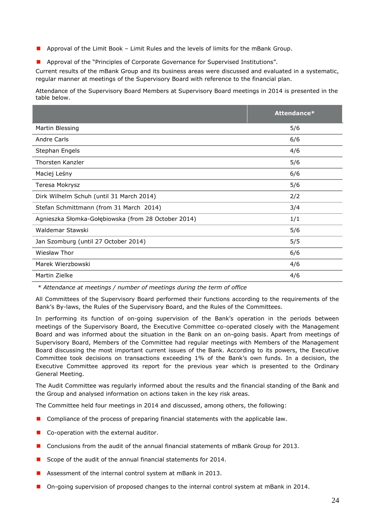- **Approval of the Limit Book Limit Rules and the levels of limits for the mBank Group.**
- **Approval of the "Principles of Corporate Governance for Supervised Institutions".**

Current results of the mBank Group and its business areas were discussed and evaluated in a systematic, regular manner at meetings of the Supervisory Board with reference to the financial plan.

Attendance of the Supervisory Board Members at Supervisory Board meetings in 2014 is presented in the table below.

|                                                     | Attendance* |
|-----------------------------------------------------|-------------|
| Martin Blessing                                     | 5/6         |
| Andre Carls                                         | 6/6         |
| Stephan Engels                                      | 4/6         |
| Thorsten Kanzler                                    | 5/6         |
| Maciej Leśny                                        | 6/6         |
| Teresa Mokrysz                                      | 5/6         |
| Dirk Wilhelm Schuh (until 31 March 2014)            | 2/2         |
| Stefan Schmittmann (from 31 March 2014)             | 3/4         |
| Agnieszka Słomka-Gołębiowska (from 28 October 2014) | 1/1         |
| Waldemar Stawski                                    | 5/6         |
| Jan Szomburg (until 27 October 2014)                | 5/5         |
| Wiesław Thor                                        | 6/6         |
| Marek Wierzbowski                                   | 4/6         |
| Martin Zielke                                       | 4/6         |

*\* Attendance at meetings / number of meetings during the term of office*

All Committees of the Supervisory Board performed their functions according to the requirements of the Bank's By-laws, the Rules of the Supervisory Board, and the Rules of the Committees.

In performing its function of on-going supervision of the Bank's operation in the periods between meetings of the Supervisory Board, the Executive Committee co-operated closely with the Management Board and was informed about the situation in the Bank on an on-going basis. Apart from meetings of Supervisory Board, Members of the Committee had regular meetings with Members of the Management Board discussing the most important current issues of the Bank. According to its powers, the Executive Committee took decisions on transactions exceeding 1% of the Bank's own funds. In a decision, the Executive Committee approved its report for the previous year which is presented to the Ordinary General Meeting.

The Audit Committee was regularly informed about the results and the financial standing of the Bank and the Group and analysed information on actions taken in the key risk areas.

The Committee held four meetings in 2014 and discussed, among others, the following:

- **D** Compliance of the process of preparing financial statements with the applicable law.
- Co-operation with the external auditor.
- **Conclusions from the audit of the annual financial statements of mBank Group for 2013.**
- Scope of the audit of the annual financial statements for  $2014$ .
- Assessment of the internal control system at mBank in 2013.
- **D** On-going supervision of proposed changes to the internal control system at mBank in 2014.